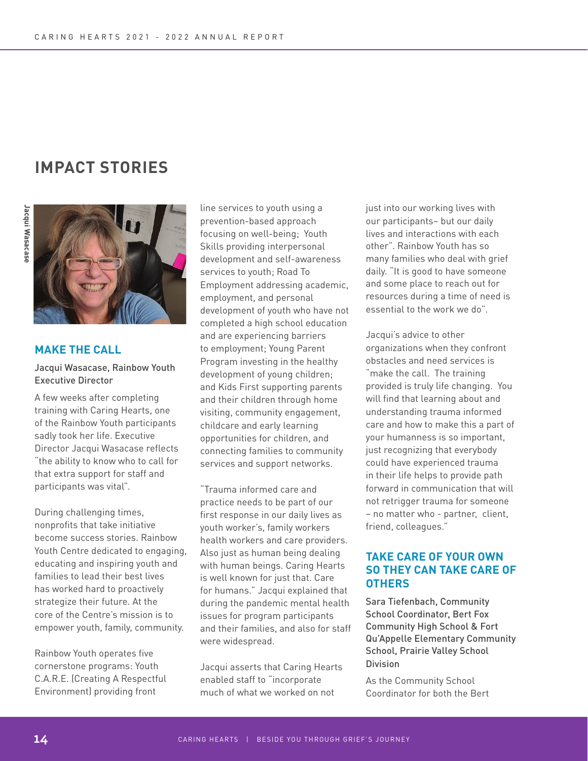## **IMPACT STORIES**



#### **MAKE THE CALL**

Jacqui Wasacase, Rainbow Youth Executive Director

A few weeks after completing training with Caring Hearts, one of the Rainbow Youth participants sadly took her life. Executive Director Jacqui Wasacase reflects "the ability to know who to call for that extra support for staff and participants was vital".

During challenging times, nonprofits that take initiative become success stories. Rainbow Youth Centre dedicated to engaging, educating and inspiring youth and families to lead their best lives has worked hard to proactively strategize their future. At the core of the Centre's mission is to empower youth, family, community.

Rainbow Youth operates five cornerstone programs: Youth C.A.R.E. (Creating A Respectful Environment) providing front

line services to youth using a prevention-based approach focusing on well-being; Youth Skills providing interpersonal development and self-awareness services to youth; Road To Employment addressing academic, employment, and personal development of youth who have not completed a high school education and are experiencing barriers to employment; Young Parent Program investing in the healthy development of young children; and Kids First supporting parents and their children through home visiting, community engagement, childcare and early learning opportunities for children, and connecting families to community services and support networks.

"Trauma informed care and practice needs to be part of our first response in our daily lives as youth worker's, family workers health workers and care providers. Also just as human being dealing with human beings. Caring Hearts is well known for just that. Care for humans." Jacqui explained that during the pandemic mental health issues for program participants and their families, and also for staff were widespread.

Jacqui asserts that Caring Hearts enabled staff to "incorporate much of what we worked on not

just into our working lives with our participants– but our daily lives and interactions with each other". Rainbow Youth has so many families who deal with grief daily. "It is good to have someone and some place to reach out for resources during a time of need is essential to the work we do".

Jacqui's advice to other organizations when they confront obstacles and need services is "make the call. The training provided is truly life changing. You will find that learning about and understanding trauma informed care and how to make this a part of your humanness is so important, just recognizing that everybody could have experienced trauma in their life helps to provide path forward in communication that will not retrigger trauma for someone – no matter who - partner, client, friend, colleagues."

### **TAKE CARE OF YOUR OWN SO THEY CAN TAKE CARE OF OTHERS**

Sara Tiefenbach, Community School Coordinator, Bert Fox Community High School & Fort Qu'Appelle Elementary Community School, Prairie Valley School Division

As the Community School Coordinator for both the Bert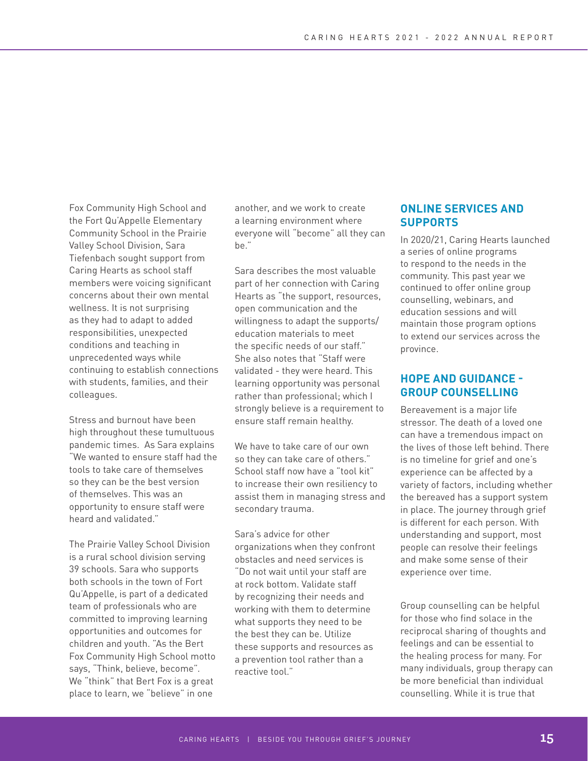Fox Community High School and the Fort Qu'Appelle Elementary Community School in the Prairie Valley School Division, Sara Tiefenbach sought support from Caring Hearts as school staff members were voicing significant concerns about their own mental wellness. It is not surprising as they had to adapt to added responsibilities, unexpected conditions and teaching in unprecedented ways while continuing to establish connections with students, families, and their colleagues.

Stress and burnout have been high throughout these tumultuous pandemic times. As Sara explains "We wanted to ensure staff had the tools to take care of themselves so they can be the best version of themselves. This was an opportunity to ensure staff were heard and validated."

The Prairie Valley School Division is a rural school division serving 39 schools. Sara who supports both schools in the town of Fort Qu'Appelle, is part of a dedicated team of professionals who are committed to improving learning opportunities and outcomes for children and youth. "As the Bert Fox Community High School motto says, "Think, believe, become". We "think" that Bert Fox is a great place to learn, we "believe" in one

another, and we work to create a learning environment where everyone will "become" all they can be."

Sara describes the most valuable part of her connection with Caring Hearts as "the support, resources, open communication and the willingness to adapt the supports/ education materials to meet the specific needs of our staff." She also notes that "Staff were validated - they were heard. This learning opportunity was personal rather than professional; which I strongly believe is a requirement to ensure staff remain healthy.

We have to take care of our own so they can take care of others." School staff now have a "tool kit" to increase their own resiliency to assist them in managing stress and secondary trauma.

Sara's advice for other organizations when they confront obstacles and need services is "Do not wait until your staff are at rock bottom. Validate staff by recognizing their needs and working with them to determine what supports they need to be the best they can be. Utilize these supports and resources as a prevention tool rather than a reactive tool."

#### **ONLINE SERVICES AND SUPPORTS**

In 2020/21, Caring Hearts launched a series of online programs to respond to the needs in the community. This past year we continued to offer online group counselling, webinars, and education sessions and will maintain those program options to extend our services across the province.

### **HOPE AND GUIDANCE - GROUP COUNSELLING**

Bereavement is a major life stressor. The death of a loved one can have a tremendous impact on the lives of those left behind. There is no timeline for grief and one's experience can be affected by a variety of factors, including whether the bereaved has a support system in place. The journey through grief is different for each person. With understanding and support, most people can resolve their feelings and make some sense of their experience over time.

Group counselling can be helpful for those who find solace in the reciprocal sharing of thoughts and feelings and can be essential to the healing process for many. For many individuals, group therapy can be more beneficial than individual counselling. While it is true that